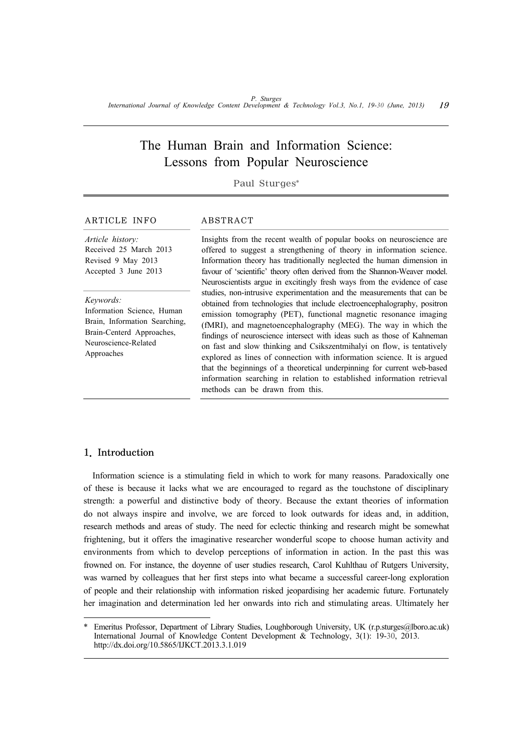# The Human Brain and Information Science: Lessons from Popular Neuroscience

Paul Sturges\*

### ARTICLE INFO ABSTRACT

*Article history:* Received 25 March 2013 Revised 9 May 2013 Accepted 3 June 2013

*Keywords:* Information Science, Human Brain, Information Searching,

Brain-Centerd Approaches, Neuroscience-Related Approaches

Insights from the recent wealth of popular books on neuroscience are offered to suggest a strengthening of theory in information science. Information theory has traditionally neglected the human dimension in favour of 'scientific' theory often derived from the Shannon-Weaver model. Neuroscientists argue in excitingly fresh ways from the evidence of case studies, non-intrusive experimentation and the measurements that can be obtained from technologies that include electroencephalography, positron emission tomography (PET), functional magnetic resonance imaging (fMRI), and magnetoencephalography (MEG). The way in which the findings of neuroscience intersect with ideas such as those of Kahneman on fast and slow thinking and Csikszentmihalyi on flow, is tentatively explored as lines of connection with information science. It is argued that the beginnings of a theoretical underpinning for current web-based information searching in relation to established information retrieval methods can be drawn from this.

## 1. Introduction

Information science is a stimulating field in which to work for many reasons. Paradoxically one of these is because it lacks what we are encouraged to regard as the touchstone of disciplinary strength: a powerful and distinctive body of theory. Because the extant theories of information do not always inspire and involve, we are forced to look outwards for ideas and, in addition, research methods and areas of study. The need for eclectic thinking and research might be somewhat frightening, but it offers the imaginative researcher wonderful scope to choose human activity and environments from which to develop perceptions of information in action. In the past this was frowned on. For instance, the doyenne of user studies research, Carol Kuhlthau of Rutgers University, was warned by colleagues that her first steps into what became a successful career-long exploration of people and their relationship with information risked jeopardising her academic future. Fortunately her imagination and determination led her onwards into rich and stimulating areas. Ultimately her

<sup>\*</sup> Emeritus Professor, Department of Library Studies, Loughborough University, UK (r.p.sturges@lboro.ac.uk) International Journal of Knowledge Content Development & Technology, 3(1): 19-30, 2013. http://dx.doi.org/10.5865/IJKCT.2013.3.1.019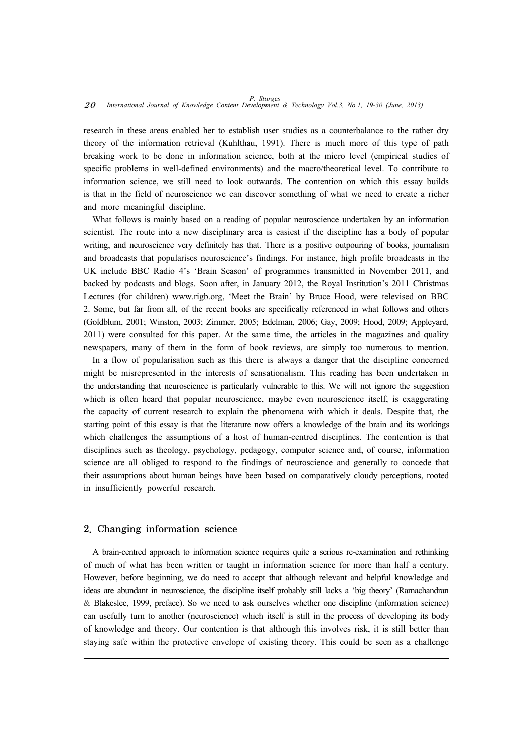research in these areas enabled her to establish user studies as a counterbalance to the rather dry theory of the information retrieval (Kuhlthau, 1991). There is much more of this type of path breaking work to be done in information science, both at the micro level (empirical studies of specific problems in well-defined environments) and the macro/theoretical level. To contribute to information science, we still need to look outwards. The contention on which this essay builds is that in the field of neuroscience we can discover something of what we need to create a richer and more meaningful discipline.

What follows is mainly based on a reading of popular neuroscience undertaken by an information scientist. The route into a new disciplinary area is easiest if the discipline has a body of popular writing, and neuroscience very definitely has that. There is a positive outpouring of books, journalism and broadcasts that popularises neuroscience's findings. For instance, high profile broadcasts in the UK include BBC Radio 4's 'Brain Season' of programmes transmitted in November 2011, and backed by podcasts and blogs. Soon after, in January 2012, the Royal Institution's 2011 Christmas Lectures (for children) www.rigb.org, 'Meet the Brain' by Bruce Hood, were televised on BBC 2. Some, but far from all, of the recent books are specifically referenced in what follows and others (Goldblum, 2001; Winston, 2003; Zimmer, 2005; Edelman, 2006; Gay, 2009; Hood, 2009; Appleyard, 2011) were consulted for this paper. At the same time, the articles in the magazines and quality newspapers, many of them in the form of book reviews, are simply too numerous to mention.

In a flow of popularisation such as this there is always a danger that the discipline concerned might be misrepresented in the interests of sensationalism. This reading has been undertaken in the understanding that neuroscience is particularly vulnerable to this. We will not ignore the suggestion which is often heard that popular neuroscience, maybe even neuroscience itself, is exaggerating the capacity of current research to explain the phenomena with which it deals. Despite that, the starting point of this essay is that the literature now offers a knowledge of the brain and its workings which challenges the assumptions of a host of human-centred disciplines. The contention is that disciplines such as theology, psychology, pedagogy, computer science and, of course, information science are all obliged to respond to the findings of neuroscience and generally to concede that their assumptions about human beings have been based on comparatively cloudy perceptions, rooted in insufficiently powerful research.

#### 2. Changing information science

A brain-centred approach to information science requires quite a serious re-examination and rethinking of much of what has been written or taught in information science for more than half a century. However, before beginning, we do need to accept that although relevant and helpful knowledge and ideas are abundant in neuroscience, the discipline itself probably still lacks a 'big theory' (Ramachandran & Blakeslee, 1999, preface). So we need to ask ourselves whether one discipline (information science) can usefully turn to another (neuroscience) which itself is still in the process of developing its body of knowledge and theory. Our contention is that although this involves risk, it is still better than staying safe within the protective envelope of existing theory. This could be seen as a challenge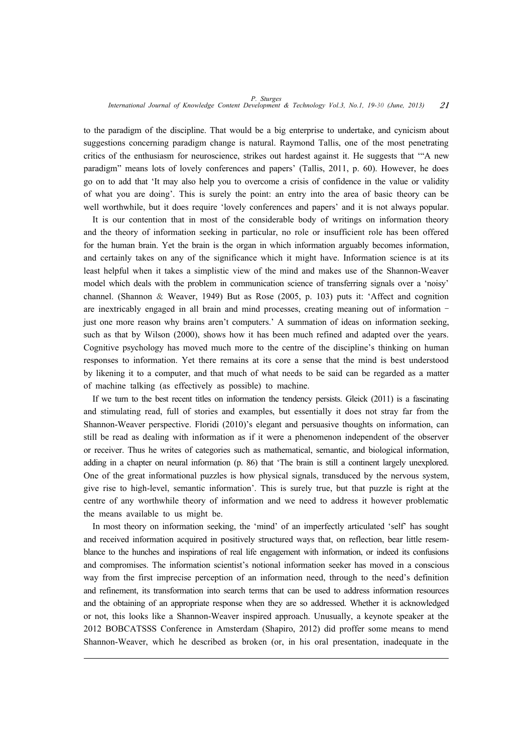to the paradigm of the discipline. That would be a big enterprise to undertake, and cynicism about suggestions concerning paradigm change is natural. Raymond Tallis, one of the most penetrating critics of the enthusiasm for neuroscience, strikes out hardest against it. He suggests that '"A new paradigm" means lots of lovely conferences and papers' (Tallis, 2011, p. 60). However, he does go on to add that 'It may also help you to overcome a crisis of confidence in the value or validity of what you are doing'. This is surely the point: an entry into the area of basic theory can be well worthwhile, but it does require 'lovely conferences and papers' and it is not always popular.

It is our contention that in most of the considerable body of writings on information theory and the theory of information seeking in particular, no role or insufficient role has been offered for the human brain. Yet the brain is the organ in which information arguably becomes information, and certainly takes on any of the significance which it might have. Information science is at its least helpful when it takes a simplistic view of the mind and makes use of the Shannon-Weaver model which deals with the problem in communication science of transferring signals over a 'noisy' channel. (Shannon & Weaver, 1949) But as Rose (2005, p. 103) puts it: 'Affect and cognition are inextricably engaged in all brain and mind processes, creating meaning out of information – just one more reason why brains aren't computers.' A summation of ideas on information seeking, such as that by Wilson (2000), shows how it has been much refined and adapted over the years. Cognitive psychology has moved much more to the centre of the discipline's thinking on human responses to information. Yet there remains at its core a sense that the mind is best understood by likening it to a computer, and that much of what needs to be said can be regarded as a matter of machine talking (as effectively as possible) to machine.

If we turn to the best recent titles on information the tendency persists. Gleick (2011) is a fascinating and stimulating read, full of stories and examples, but essentially it does not stray far from the Shannon-Weaver perspective. Floridi (2010)'s elegant and persuasive thoughts on information, can still be read as dealing with information as if it were a phenomenon independent of the observer or receiver. Thus he writes of categories such as mathematical, semantic, and biological information, adding in a chapter on neural information (p. 86) that 'The brain is still a continent largely unexplored. One of the great informational puzzles is how physical signals, transduced by the nervous system, give rise to high-level, semantic information'. This is surely true, but that puzzle is right at the centre of any worthwhile theory of information and we need to address it however problematic the means available to us might be.

In most theory on information seeking, the 'mind' of an imperfectly articulated 'self' has sought and received information acquired in positively structured ways that, on reflection, bear little resemblance to the hunches and inspirations of real life engagement with information, or indeed its confusions and compromises. The information scientist's notional information seeker has moved in a conscious way from the first imprecise perception of an information need, through to the need's definition and refinement, its transformation into search terms that can be used to address information resources and the obtaining of an appropriate response when they are so addressed. Whether it is acknowledged or not, this looks like a Shannon-Weaver inspired approach. Unusually, a keynote speaker at the 2012 BOBCATSSS Conference in Amsterdam (Shapiro, 2012) did proffer some means to mend Shannon-Weaver, which he described as broken (or, in his oral presentation, inadequate in the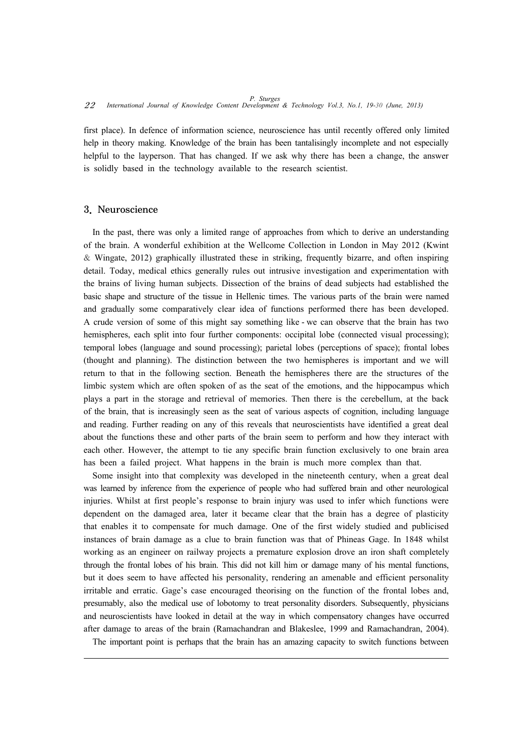first place). In defence of information science, neuroscience has until recently offered only limited help in theory making. Knowledge of the brain has been tantalisingly incomplete and not especially helpful to the layperson. That has changed. If we ask why there has been a change, the answer is solidly based in the technology available to the research scientist.

### 3. Neuroscience

In the past, there was only a limited range of approaches from which to derive an understanding of the brain. A wonderful exhibition at the Wellcome Collection in London in May 2012 (Kwint & Wingate, 2012) graphically illustrated these in striking, frequently bizarre, and often inspiring detail. Today, medical ethics generally rules out intrusive investigation and experimentation with the brains of living human subjects. Dissection of the brains of dead subjects had established the basic shape and structure of the tissue in Hellenic times. The various parts of the brain were named and gradually some comparatively clear idea of functions performed there has been developed. A crude version of some of this might say something like - we can observe that the brain has two hemispheres, each split into four further components: occipital lobe (connected visual processing); temporal lobes (language and sound processing); parietal lobes (perceptions of space); frontal lobes (thought and planning). The distinction between the two hemispheres is important and we will return to that in the following section. Beneath the hemispheres there are the structures of the limbic system which are often spoken of as the seat of the emotions, and the hippocampus which plays a part in the storage and retrieval of memories. Then there is the cerebellum, at the back of the brain, that is increasingly seen as the seat of various aspects of cognition, including language and reading. Further reading on any of this reveals that neuroscientists have identified a great deal about the functions these and other parts of the brain seem to perform and how they interact with each other. However, the attempt to tie any specific brain function exclusively to one brain area has been a failed project. What happens in the brain is much more complex than that.

Some insight into that complexity was developed in the nineteenth century, when a great deal was learned by inference from the experience of people who had suffered brain and other neurological injuries. Whilst at first people's response to brain injury was used to infer which functions were dependent on the damaged area, later it became clear that the brain has a degree of plasticity that enables it to compensate for much damage. One of the first widely studied and publicised instances of brain damage as a clue to brain function was that of Phineas Gage. In 1848 whilst working as an engineer on railway projects a premature explosion drove an iron shaft completely through the frontal lobes of his brain. This did not kill him or damage many of his mental functions, but it does seem to have affected his personality, rendering an amenable and efficient personality irritable and erratic. Gage's case encouraged theorising on the function of the frontal lobes and, presumably, also the medical use of lobotomy to treat personality disorders. Subsequently, physicians and neuroscientists have looked in detail at the way in which compensatory changes have occurred after damage to areas of the brain (Ramachandran and Blakeslee, 1999 and Ramachandran, 2004).

The important point is perhaps that the brain has an amazing capacity to switch functions between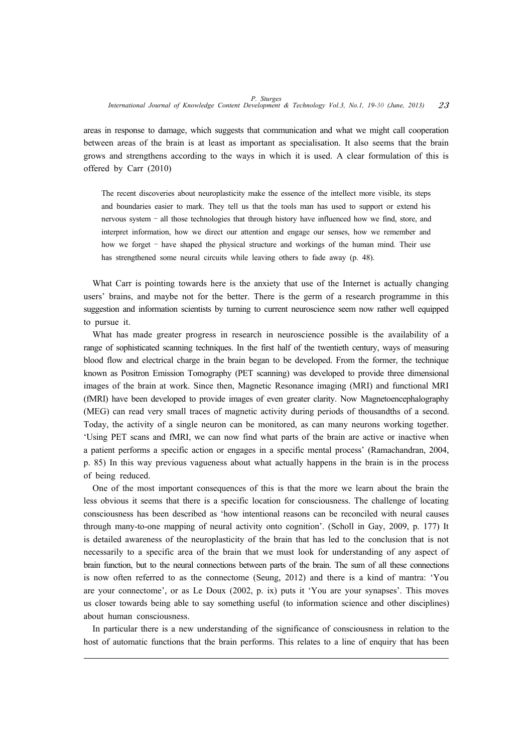areas in response to damage, which suggests that communication and what we might call cooperation between areas of the brain is at least as important as specialisation. It also seems that the brain grows and strengthens according to the ways in which it is used. A clear formulation of this is offered by Carr (2010)

The recent discoveries about neuroplasticity make the essence of the intellect more visible, its steps and boundaries easier to mark. They tell us that the tools man has used to support or extend his nervous system – all those technologies that through history have influenced how we find, store, and interpret information, how we direct our attention and engage our senses, how we remember and how we forget – have shaped the physical structure and workings of the human mind. Their use has strengthened some neural circuits while leaving others to fade away (p. 48).

What Carr is pointing towards here is the anxiety that use of the Internet is actually changing users' brains, and maybe not for the better. There is the germ of a research programme in this suggestion and information scientists by turning to current neuroscience seem now rather well equipped to pursue it.

What has made greater progress in research in neuroscience possible is the availability of a range of sophisticated scanning techniques. In the first half of the twentieth century, ways of measuring blood flow and electrical charge in the brain began to be developed. From the former, the technique known as Positron Emission Tomography (PET scanning) was developed to provide three dimensional images of the brain at work. Since then, Magnetic Resonance imaging (MRI) and functional MRI (fMRI) have been developed to provide images of even greater clarity. Now Magnetoencephalography (MEG) can read very small traces of magnetic activity during periods of thousandths of a second. Today, the activity of a single neuron can be monitored, as can many neurons working together. 'Using PET scans and fMRI, we can now find what parts of the brain are active or inactive when a patient performs a specific action or engages in a specific mental process' (Ramachandran, 2004, p. 85) In this way previous vagueness about what actually happens in the brain is in the process of being reduced.

One of the most important consequences of this is that the more we learn about the brain the less obvious it seems that there is a specific location for consciousness. The challenge of locating consciousness has been described as 'how intentional reasons can be reconciled with neural causes through many-to-one mapping of neural activity onto cognition'. (Scholl in Gay, 2009, p. 177) It is detailed awareness of the neuroplasticity of the brain that has led to the conclusion that is not necessarily to a specific area of the brain that we must look for understanding of any aspect of brain function, but to the neural connections between parts of the brain. The sum of all these connections is now often referred to as the connectome (Seung, 2012) and there is a kind of mantra: 'You are your connectome', or as Le Doux (2002, p. ix) puts it 'You are your synapses'. This moves us closer towards being able to say something useful (to information science and other disciplines) about human consciousness.

In particular there is a new understanding of the significance of consciousness in relation to the host of automatic functions that the brain performs. This relates to a line of enquiry that has been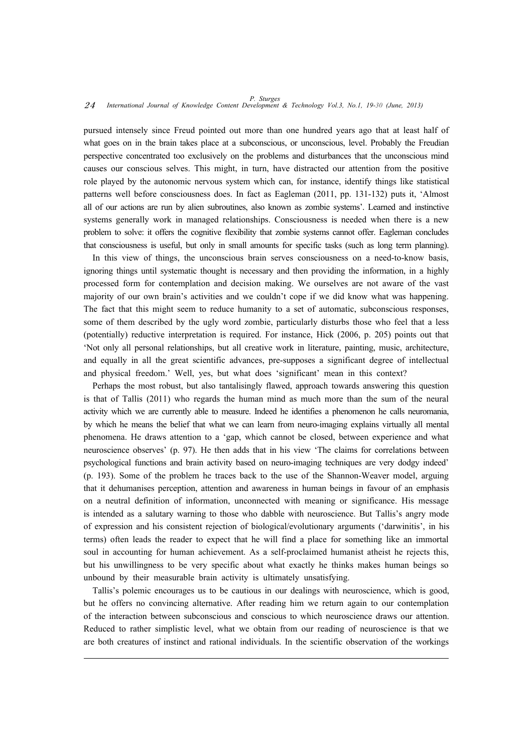pursued intensely since Freud pointed out more than one hundred years ago that at least half of what goes on in the brain takes place at a subconscious, or unconscious, level. Probably the Freudian perspective concentrated too exclusively on the problems and disturbances that the unconscious mind causes our conscious selves. This might, in turn, have distracted our attention from the positive role played by the autonomic nervous system which can, for instance, identify things like statistical patterns well before consciousness does. In fact as Eagleman (2011, pp. 131-132) puts it, 'Almost all of our actions are run by alien subroutines, also known as zombie systems'. Learned and instinctive systems generally work in managed relationships. Consciousness is needed when there is a new problem to solve: it offers the cognitive flexibility that zombie systems cannot offer. Eagleman concludes that consciousness is useful, but only in small amounts for specific tasks (such as long term planning).

In this view of things, the unconscious brain serves consciousness on a need-to-know basis, ignoring things until systematic thought is necessary and then providing the information, in a highly processed form for contemplation and decision making. We ourselves are not aware of the vast majority of our own brain's activities and we couldn't cope if we did know what was happening. The fact that this might seem to reduce humanity to a set of automatic, subconscious responses, some of them described by the ugly word zombie, particularly disturbs those who feel that a less (potentially) reductive interpretation is required. For instance, Hick (2006, p. 205) points out that 'Not only all personal relationships, but all creative work in literature, painting, music, architecture, and equally in all the great scientific advances, pre-supposes a significant degree of intellectual and physical freedom.' Well, yes, but what does 'significant' mean in this context?

Perhaps the most robust, but also tantalisingly flawed, approach towards answering this question is that of Tallis (2011) who regards the human mind as much more than the sum of the neural activity which we are currently able to measure. Indeed he identifies a phenomenon he calls neuromania, by which he means the belief that what we can learn from neuro-imaging explains virtually all mental phenomena. He draws attention to a 'gap, which cannot be closed, between experience and what neuroscience observes' (p. 97). He then adds that in his view 'The claims for correlations between psychological functions and brain activity based on neuro-imaging techniques are very dodgy indeed' (p. 193). Some of the problem he traces back to the use of the Shannon-Weaver model, arguing that it dehumanises perception, attention and awareness in human beings in favour of an emphasis on a neutral definition of information, unconnected with meaning or significance. His message is intended as a salutary warning to those who dabble with neuroscience. But Tallis's angry mode of expression and his consistent rejection of biological/evolutionary arguments ('darwinitis', in his terms) often leads the reader to expect that he will find a place for something like an immortal soul in accounting for human achievement. As a self-proclaimed humanist atheist he rejects this, but his unwillingness to be very specific about what exactly he thinks makes human beings so unbound by their measurable brain activity is ultimately unsatisfying.

Tallis's polemic encourages us to be cautious in our dealings with neuroscience, which is good, but he offers no convincing alternative. After reading him we return again to our contemplation of the interaction between subconscious and conscious to which neuroscience draws our attention. Reduced to rather simplistic level, what we obtain from our reading of neuroscience is that we are both creatures of instinct and rational individuals. In the scientific observation of the workings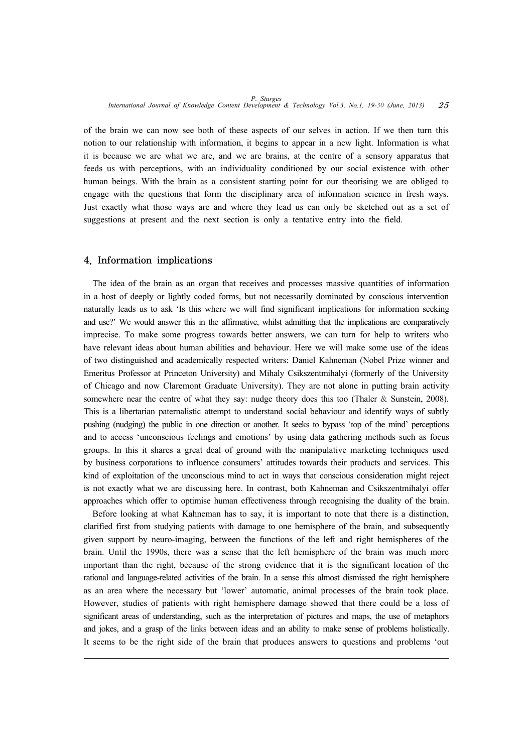of the brain we can now see both of these aspects of our selves in action. If we then turn this notion to our relationship with information, it begins to appear in a new light. Information is what it is because we are what we are, and we are brains, at the centre of a sensory apparatus that feeds us with perceptions, with an individuality conditioned by our social existence with other human beings. With the brain as a consistent starting point for our theorising we are obliged to engage with the questions that form the disciplinary area of information science in fresh ways. Just exactly what those ways are and where they lead us can only be sketched out as a set of suggestions at present and the next section is only a tentative entry into the field.

#### 4. Information implications

The idea of the brain as an organ that receives and processes massive quantities of information in a host of deeply or lightly coded forms, but not necessarily dominated by conscious intervention naturally leads us to ask 'Is this where we will find significant implications for information seeking and use?' We would answer this in the affirmative, whilst admitting that the implications are comparatively imprecise. To make some progress towards better answers, we can turn for help to writers who have relevant ideas about human abilities and behaviour. Here we will make some use of the ideas of two distinguished and academically respected writers: Daniel Kahneman (Nobel Prize winner and Emeritus Professor at Princeton University) and Mihaly Csikszentmihalyi (formerly of the University of Chicago and now Claremont Graduate University). They are not alone in putting brain activity somewhere near the centre of what they say: nudge theory does this too (Thaler & Sunstein, 2008). This is a libertarian paternalistic attempt to understand social behaviour and identify ways of subtly pushing (nudging) the public in one direction or another. It seeks to bypass 'top of the mind' perceptions and to access 'unconscious feelings and emotions' by using data gathering methods such as focus groups. In this it shares a great deal of ground with the manipulative marketing techniques used by business corporations to influence consumers' attitudes towards their products and services. This kind of exploitation of the unconscious mind to act in ways that conscious consideration might reject is not exactly what we are discussing here. In contrast, both Kahneman and Csikszentmihalyi offer approaches which offer to optimise human effectiveness through recognising the duality of the brain.

Before looking at what Kahneman has to say, it is important to note that there is a distinction, clarified first from studying patients with damage to one hemisphere of the brain, and subsequently given support by neuro-imaging, between the functions of the left and right hemispheres of the brain. Until the 1990s, there was a sense that the left hemisphere of the brain was much more important than the right, because of the strong evidence that it is the significant location of the rational and language-related activities of the brain. In a sense this almost dismissed the right hemisphere as an area where the necessary but 'lower' automatic, animal processes of the brain took place. However, studies of patients with right hemisphere damage showed that there could be a loss of significant areas of understanding, such as the interpretation of pictures and maps, the use of metaphors and jokes, and a grasp of the links between ideas and an ability to make sense of problems holistically. It seems to be the right side of the brain that produces answers to questions and problems 'out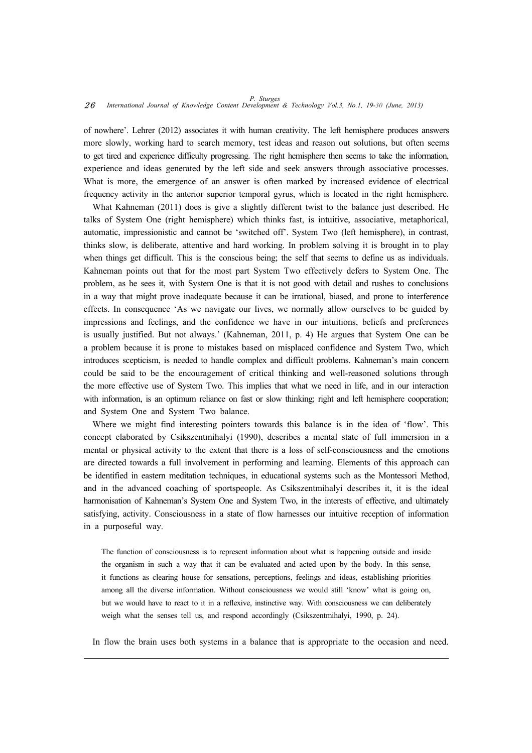of nowhere'. Lehrer (2012) associates it with human creativity. The left hemisphere produces answers more slowly, working hard to search memory, test ideas and reason out solutions, but often seems to get tired and experience difficulty progressing. The right hemisphere then seems to take the information, experience and ideas generated by the left side and seek answers through associative processes. What is more, the emergence of an answer is often marked by increased evidence of electrical frequency activity in the anterior superior temporal gyrus, which is located in the right hemisphere.

What Kahneman (2011) does is give a slightly different twist to the balance just described. He talks of System One (right hemisphere) which thinks fast, is intuitive, associative, metaphorical, automatic, impressionistic and cannot be 'switched off'. System Two (left hemisphere), in contrast, thinks slow, is deliberate, attentive and hard working. In problem solving it is brought in to play when things get difficult. This is the conscious being; the self that seems to define us as individuals. Kahneman points out that for the most part System Two effectively defers to System One. The problem, as he sees it, with System One is that it is not good with detail and rushes to conclusions in a way that might prove inadequate because it can be irrational, biased, and prone to interference effects. In consequence 'As we navigate our lives, we normally allow ourselves to be guided by impressions and feelings, and the confidence we have in our intuitions, beliefs and preferences is usually justified. But not always.' (Kahneman, 2011, p. 4) He argues that System One can be a problem because it is prone to mistakes based on misplaced confidence and System Two, which introduces scepticism, is needed to handle complex and difficult problems. Kahneman's main concern could be said to be the encouragement of critical thinking and well-reasoned solutions through the more effective use of System Two. This implies that what we need in life, and in our interaction with information, is an optimum reliance on fast or slow thinking; right and left hemisphere cooperation; and System One and System Two balance.

Where we might find interesting pointers towards this balance is in the idea of 'flow'. This concept elaborated by Csikszentmihalyi (1990), describes a mental state of full immersion in a mental or physical activity to the extent that there is a loss of self-consciousness and the emotions are directed towards a full involvement in performing and learning. Elements of this approach can be identified in eastern meditation techniques, in educational systems such as the Montessori Method, and in the advanced coaching of sportspeople. As Csikszentmihalyi describes it, it is the ideal harmonisation of Kahneman's System One and System Two, in the interests of effective, and ultimately satisfying, activity. Consciousness in a state of flow harnesses our intuitive reception of information in a purposeful way.

The function of consciousness is to represent information about what is happening outside and inside the organism in such a way that it can be evaluated and acted upon by the body. In this sense, it functions as clearing house for sensations, perceptions, feelings and ideas, establishing priorities among all the diverse information. Without consciousness we would still 'know' what is going on, but we would have to react to it in a reflexive, instinctive way. With consciousness we can deliberately weigh what the senses tell us, and respond accordingly (Csikszentmihalyi, 1990, p. 24).

In flow the brain uses both systems in a balance that is appropriate to the occasion and need.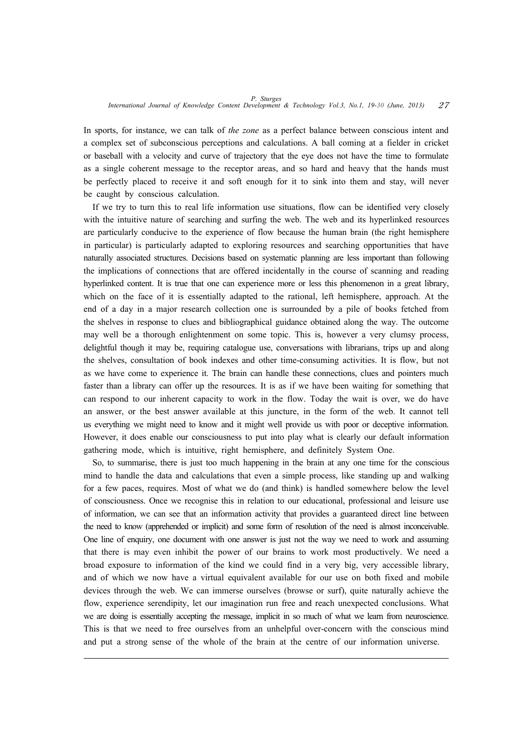In sports, for instance, we can talk of *the zone* as a perfect balance between conscious intent and a complex set of subconscious perceptions and calculations. A ball coming at a fielder in cricket or baseball with a velocity and curve of trajectory that the eye does not have the time to formulate as a single coherent message to the receptor areas, and so hard and heavy that the hands must be perfectly placed to receive it and soft enough for it to sink into them and stay, will never be caught by conscious calculation.

If we try to turn this to real life information use situations, flow can be identified very closely with the intuitive nature of searching and surfing the web. The web and its hyperlinked resources are particularly conducive to the experience of flow because the human brain (the right hemisphere in particular) is particularly adapted to exploring resources and searching opportunities that have naturally associated structures. Decisions based on systematic planning are less important than following the implications of connections that are offered incidentally in the course of scanning and reading hyperlinked content. It is true that one can experience more or less this phenomenon in a great library, which on the face of it is essentially adapted to the rational, left hemisphere, approach. At the end of a day in a major research collection one is surrounded by a pile of books fetched from the shelves in response to clues and bibliographical guidance obtained along the way. The outcome may well be a thorough enlightenment on some topic. This is, however a very clumsy process, delightful though it may be, requiring catalogue use, conversations with librarians, trips up and along the shelves, consultation of book indexes and other time-consuming activities. It is flow, but not as we have come to experience it. The brain can handle these connections, clues and pointers much faster than a library can offer up the resources. It is as if we have been waiting for something that can respond to our inherent capacity to work in the flow. Today the wait is over, we do have an answer, or the best answer available at this juncture, in the form of the web. It cannot tell us everything we might need to know and it might well provide us with poor or deceptive information. However, it does enable our consciousness to put into play what is clearly our default information gathering mode, which is intuitive, right hemisphere, and definitely System One.

So, to summarise, there is just too much happening in the brain at any one time for the conscious mind to handle the data and calculations that even a simple process, like standing up and walking for a few paces, requires. Most of what we do (and think) is handled somewhere below the level of consciousness. Once we recognise this in relation to our educational, professional and leisure use of information, we can see that an information activity that provides a guaranteed direct line between the need to know (apprehended or implicit) and some form of resolution of the need is almost inconceivable. One line of enquiry, one document with one answer is just not the way we need to work and assuming that there is may even inhibit the power of our brains to work most productively. We need a broad exposure to information of the kind we could find in a very big, very accessible library, and of which we now have a virtual equivalent available for our use on both fixed and mobile devices through the web. We can immerse ourselves (browse or surf), quite naturally achieve the flow, experience serendipity, let our imagination run free and reach unexpected conclusions. What we are doing is essentially accepting the message, implicit in so much of what we learn from neuroscience. This is that we need to free ourselves from an unhelpful over-concern with the conscious mind and put a strong sense of the whole of the brain at the centre of our information universe.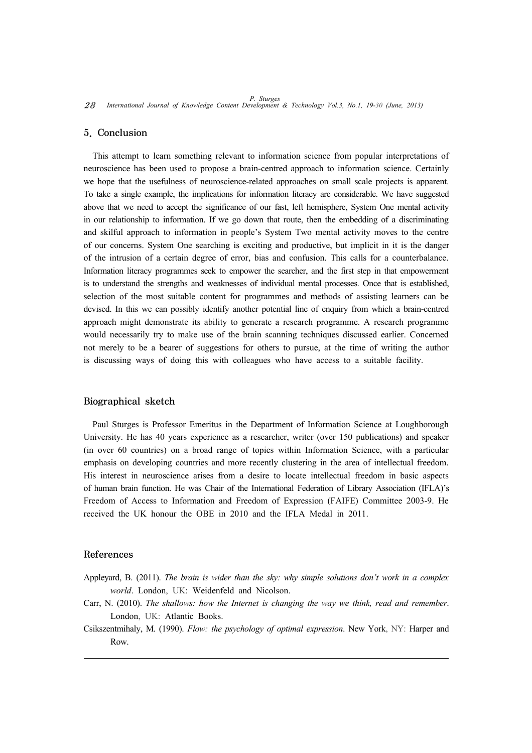#### 5. Conclusion

This attempt to learn something relevant to information science from popular interpretations of neuroscience has been used to propose a brain-centred approach to information science. Certainly we hope that the usefulness of neuroscience-related approaches on small scale projects is apparent. To take a single example, the implications for information literacy are considerable. We have suggested above that we need to accept the significance of our fast, left hemisphere, System One mental activity in our relationship to information. If we go down that route, then the embedding of a discriminating and skilful approach to information in people's System Two mental activity moves to the centre of our concerns. System One searching is exciting and productive, but implicit in it is the danger of the intrusion of a certain degree of error, bias and confusion. This calls for a counterbalance. Information literacy programmes seek to empower the searcher, and the first step in that empowerment is to understand the strengths and weaknesses of individual mental processes. Once that is established, selection of the most suitable content for programmes and methods of assisting learners can be devised. In this we can possibly identify another potential line of enquiry from which a brain-centred approach might demonstrate its ability to generate a research programme. A research programme would necessarily try to make use of the brain scanning techniques discussed earlier. Concerned not merely to be a bearer of suggestions for others to pursue, at the time of writing the author is discussing ways of doing this with colleagues who have access to a suitable facility.

### Biographical sketch

Paul Sturges is Professor Emeritus in the Department of Information Science at Loughborough University. He has 40 years experience as a researcher, writer (over 150 publications) and speaker (in over 60 countries) on a broad range of topics within Information Science, with a particular emphasis on developing countries and more recently clustering in the area of intellectual freedom. His interest in neuroscience arises from a desire to locate intellectual freedom in basic aspects of human brain function. He was Chair of the International Federation of Library Association (IFLA)'s Freedom of Access to Information and Freedom of Expression (FAIFE) Committee 2003-9. He received the UK honour the OBE in 2010 and the IFLA Medal in 2011.

# References

- Appleyard, B. (2011). *The brain is wider than the sky: why simple solutions don't work in a complex world*. London, UK: Weidenfeld and Nicolson.
- Carr, N. (2010). *The shallows: how the Internet is changing the way we think, read and remember*. London, UK: Atlantic Books.
- Csikszentmihaly, M. (1990). *Flow: the psychology of optimal expression*. New York, NY: Harper and Row.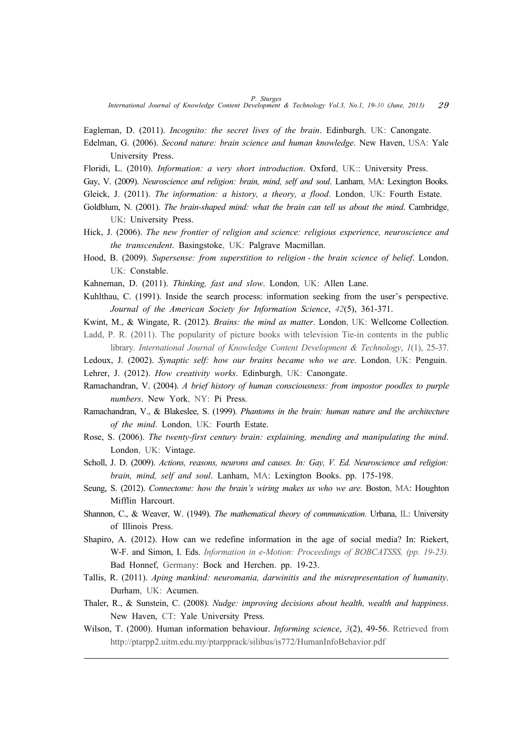*P. Sturges International Journal of Knowledge Content Development & Technology Vol.3, No.1, 19-30 (June, 2013)* 29

Eagleman, D. (2011). *Incognito: the secret lives of the brain*. Edinburgh, UK: Canongate.

- Edelman, G. (2006). *Second nature: brain science and human knowledge*. New Haven, USA: Yale University Press.
- Floridi, L. (2010). *Information: a very short introduction*. Oxford, UK:: University Press.
- Gay, V. (2009). *Neuroscience and religion: brain, mind, self and soul*. Lanham, MA: Lexington Books.
- Gleick, J. (2011). *The information: a history, a theory, a flood*. London, UK: Fourth Estate.
- Goldblum, N. (2001). *The brain-shaped mind: what the brain can tell us about the mind*. Cambridge, UK: University Press.
- Hick, J. (2006). *The new frontier of religion and science: religious experience, neuroscience and the transcendent*. Basingstoke, UK: Palgrave Macmillan.
- Hood, B. (2009). *Supersense: from superstition to religion the brain science of belief*. London, UK: Constable.
- Kahneman, D. (2011). *Thinking, fast and slow*. London, UK: Allen Lane.
- Kuhlthau, C. (1991). Inside the search process: information seeking from the user's perspective. *Journal of the American Society for Information Science*, *42*(5), 361-371.
- Kwint, M., & Wingate, R. (2012). *Brains: the mind as matter*. London, UK: Wellcome Collection. Ladd, P. R. (2011). The popularity of picture books with television Tie-in contents in the public
- library. *International Journal of Knowledge Content Development & Technology*, *1*(1), 25-37.
- Ledoux, J. (2002). *Synaptic self: how our brains became who we are*. London, UK: Penguin. Lehrer, J. (2012). *How creativity works*. Edinburgh, UK: Canongate.
- Ramachandran, V. (2004). *A brief history of human consciousness: from impostor poodles to purple numbers*. New York, NY: Pi Press.
- Ramachandran, V., & Blakeslee, S. (1999). *Phantoms in the brain: human nature and the architecture of the mind*. London, UK: Fourth Estate.
- Rose, S. (2006). *The twenty-first century brain: explaining, mending and manipulating the mind*. London, UK: Vintage.
- Scholl, J. D. (2009). *Actions, reasons, neurons and causes. In: Gay, V. Ed. Neuroscience and religion: brain, mind, self and soul*. Lanham, MA: Lexington Books. pp. 175-198.
- Seung, S. (2012). *Connectome: how the brain's wiring makes us who we are*. Boston, MA: Houghton Mifflin Harcourt.
- Shannon, C., & Weaver, W. (1949). *The mathematical theory of communication*. Urbana, IL: University of Illinois Press.
- Shapiro, A. (2012). How can we redefine information in the age of social media? In: Riekert, W-F. and Simon, I. Eds. *Information in e-Motion: Proceedings of BOBCATSSS, (pp. 19-23).*  Bad Honnef, Germany: Bock and Herchen. pp. 19-23.
- Tallis, R. (2011). *Aping mankind: neuromania, darwinitis and the misrepresentation of humanity*. Durham, UK: Acumen.
- Thaler, R., & Sunstein, C. (2008). *Nudge: improving decisions about health, wealth and happiness*. New Haven, CT: Yale University Press.
- Wilson, T. (2000). Human information behaviour. *Informing science*, *3*(2), 49-56. Retrieved from http://ptarpp2.uitm.edu.my/ptarpprack/silibus/is772/HumanInfoBehavior.pdf